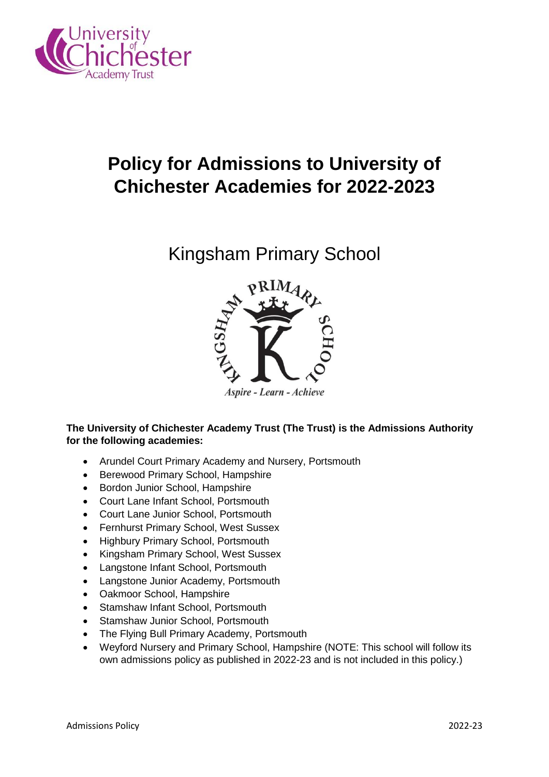

# **Policy for Admissions to University of Chichester Academies for 2022-2023**

# Kingsham Primary School



Aspire - Learn - Achieve

**The University of Chichester Academy Trust (The Trust) is the Admissions Authority for the following academies:**

- Arundel Court Primary Academy and Nursery, Portsmouth
- Berewood Primary School, Hampshire
- Bordon Junior School, Hampshire
- Court Lane Infant School, Portsmouth
- Court Lane Junior School, Portsmouth
- Fernhurst Primary School, West Sussex
- Highbury Primary School, Portsmouth
- Kingsham Primary School, West Sussex
- Langstone Infant School, Portsmouth
- Langstone Junior Academy, Portsmouth
- Oakmoor School, Hampshire
- Stamshaw Infant School, Portsmouth
- Stamshaw Junior School, Portsmouth
- The Flying Bull Primary Academy, Portsmouth
- Weyford Nursery and Primary School, Hampshire (NOTE: This school will follow its own admissions policy as published in 2022-23 and is not included in this policy.)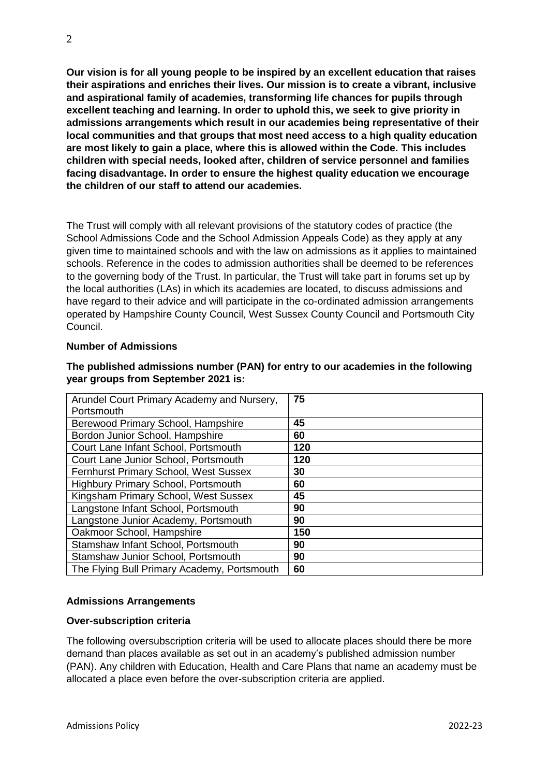**Our vision is for all young people to be inspired by an excellent education that raises their aspirations and enriches their lives. Our mission is to create a vibrant, inclusive and aspirational family of academies, transforming life chances for pupils through excellent teaching and learning. In order to uphold this, we seek to give priority in admissions arrangements which result in our academies being representative of their local communities and that groups that most need access to a high quality education are most likely to gain a place, where this is allowed within the Code. This includes children with special needs, looked after, children of service personnel and families facing disadvantage. In order to ensure the highest quality education we encourage the children of our staff to attend our academies.** 

The Trust will comply with all relevant provisions of the statutory codes of practice (the School Admissions Code and the School Admission Appeals Code) as they apply at any given time to maintained schools and with the law on admissions as it applies to maintained schools. Reference in the codes to admission authorities shall be deemed to be references to the governing body of the Trust. In particular, the Trust will take part in forums set up by the local authorities (LAs) in which its academies are located, to discuss admissions and have regard to their advice and will participate in the co-ordinated admission arrangements operated by Hampshire County Council, West Sussex County Council and Portsmouth City Council.

#### **Number of Admissions**

| Arundel Court Primary Academy and Nursery,  | 75  |
|---------------------------------------------|-----|
| Portsmouth                                  |     |
| Berewood Primary School, Hampshire          | 45  |
| Bordon Junior School, Hampshire             | 60  |
| Court Lane Infant School, Portsmouth        | 120 |
| Court Lane Junior School, Portsmouth        | 120 |
| Fernhurst Primary School, West Sussex       | 30  |
| <b>Highbury Primary School, Portsmouth</b>  | 60  |
| Kingsham Primary School, West Sussex        | 45  |
| Langstone Infant School, Portsmouth         | 90  |
| Langstone Junior Academy, Portsmouth        | 90  |
| Oakmoor School, Hampshire                   | 150 |
| Stamshaw Infant School, Portsmouth          | 90  |
| Stamshaw Junior School, Portsmouth          | 90  |
| The Flying Bull Primary Academy, Portsmouth | 60  |

### **The published admissions number (PAN) for entry to our academies in the following year groups from September 2021 is:**

# **Admissions Arrangements**

#### **Over-subscription criteria**

The following oversubscription criteria will be used to allocate places should there be more demand than places available as set out in an academy's published admission number (PAN). Any children with Education, Health and Care Plans that name an academy must be allocated a place even before the over-subscription criteria are applied.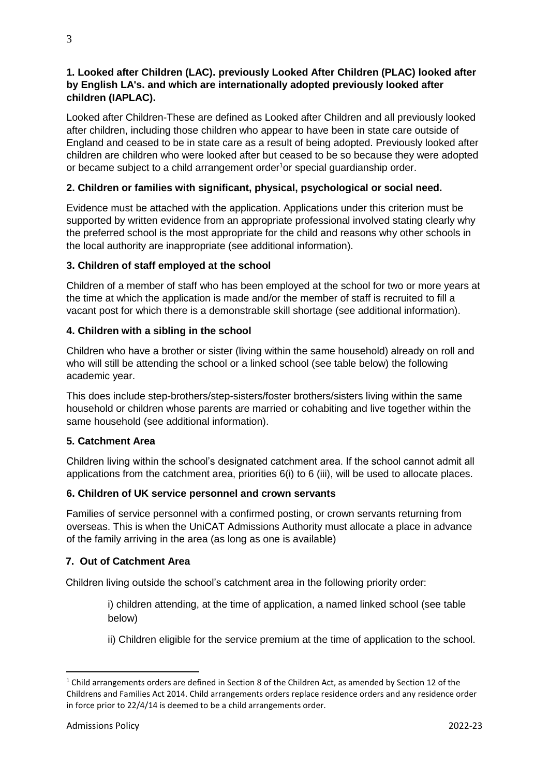# **1. Looked after Children (LAC). previously Looked After Children (PLAC) looked after by English LA's. and which are internationally adopted previously looked after children (IAPLAC).**

Looked after Children-These are defined as Looked after Children and all previously looked after children, including those children who appear to have been in state care outside of England and ceased to be in state care as a result of being adopted. Previously looked after children are children who were looked after but ceased to be so because they were adopted or became subject to a child arrangement order<sup>1</sup>or special guardianship order.

# **2. Children or families with significant, physical, psychological or social need.**

Evidence must be attached with the application. Applications under this criterion must be supported by written evidence from an appropriate professional involved stating clearly why the preferred school is the most appropriate for the child and reasons why other schools in the local authority are inappropriate (see additional information).

# **3. Children of staff employed at the school**

Children of a member of staff who has been employed at the school for two or more years at the time at which the application is made and/or the member of staff is recruited to fill a vacant post for which there is a demonstrable skill shortage (see additional information).

# **4. Children with a sibling in the school**

Children who have a brother or sister (living within the same household) already on roll and who will still be attending the school or a linked school (see table below) the following academic year.

This does include step-brothers/step-sisters/foster brothers/sisters living within the same household or children whose parents are married or cohabiting and live together within the same household (see additional information).

# **5. Catchment Area**

Children living within the school's designated catchment area. If the school cannot admit all applications from the catchment area, priorities 6(i) to 6 (iii), will be used to allocate places.

# **6. Children of UK service personnel and crown servants**

Families of service personnel with a confirmed posting, or crown servants returning from overseas. This is when the UniCAT Admissions Authority must allocate a place in advance of the family arriving in the area (as long as one is available)

# **7. Out of Catchment Area**

Children living outside the school's catchment area in the following priority order:

i) children attending, at the time of application, a named linked school (see table below)

ii) Children eligible for the service premium at the time of application to the school.

**.** 

 $1$  Child arrangements orders are defined in Section 8 of the Children Act, as amended by Section 12 of the Childrens and Families Act 2014. Child arrangements orders replace residence orders and any residence order in force prior to 22/4/14 is deemed to be a child arrangements order.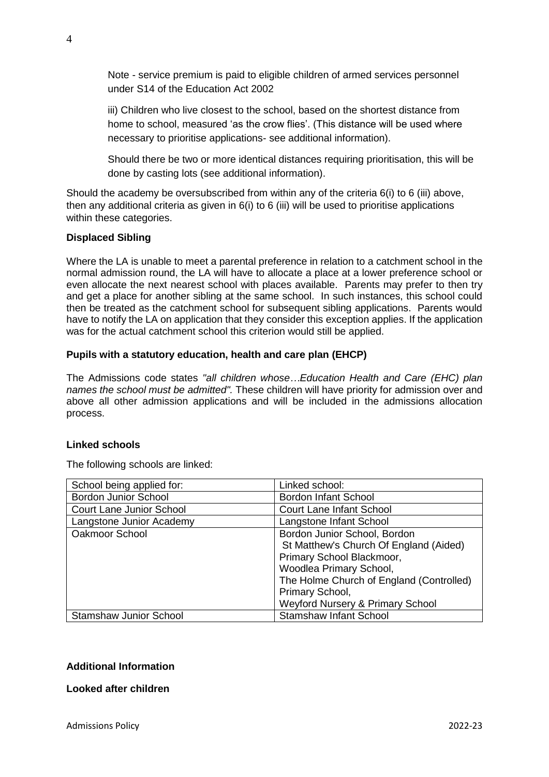Note - service premium is paid to eligible children of armed services personnel under S14 of the Education Act 2002

iii) Children who live closest to the school, based on the shortest distance from home to school, measured 'as the crow flies'. (This distance will be used where necessary to prioritise applications- see additional information).

Should there be two or more identical distances requiring prioritisation, this will be done by casting lots (see additional information).

Should the academy be oversubscribed from within any of the criteria 6(i) to 6 (iii) above, then any additional criteria as given in  $6(i)$  to 6 (iii) will be used to prioritise applications within these categories.

# **Displaced Sibling**

Where the LA is unable to meet a parental preference in relation to a catchment school in the normal admission round, the LA will have to allocate a place at a lower preference school or even allocate the next nearest school with places available. Parents may prefer to then try and get a place for another sibling at the same school. In such instances, this school could then be treated as the catchment school for subsequent sibling applications. Parents would have to notify the LA on application that they consider this exception applies. If the application was for the actual catchment school this criterion would still be applied.

#### **Pupils with a statutory education, health and care plan (EHCP)**

The Admissions code states *"all children whose…Education Health and Care (EHC) plan names the school must be admitted".* These children will have priority for admission over and above all other admission applications and will be included in the admissions allocation process.

#### **Linked schools**

The following schools are linked:

| School being applied for:       | Linked school:                              |
|---------------------------------|---------------------------------------------|
| <b>Bordon Junior School</b>     | <b>Bordon Infant School</b>                 |
| <b>Court Lane Junior School</b> | <b>Court Lane Infant School</b>             |
| Langstone Junior Academy        | Langstone Infant School                     |
| Oakmoor School                  | Bordon Junior School, Bordon                |
|                                 | St Matthew's Church Of England (Aided)      |
|                                 | Primary School Blackmoor,                   |
|                                 | Woodlea Primary School,                     |
|                                 | The Holme Church of England (Controlled)    |
|                                 | Primary School,                             |
|                                 | <b>Weyford Nursery &amp; Primary School</b> |
| <b>Stamshaw Junior School</b>   | <b>Stamshaw Infant School</b>               |

# **Additional Information**

#### **Looked after children**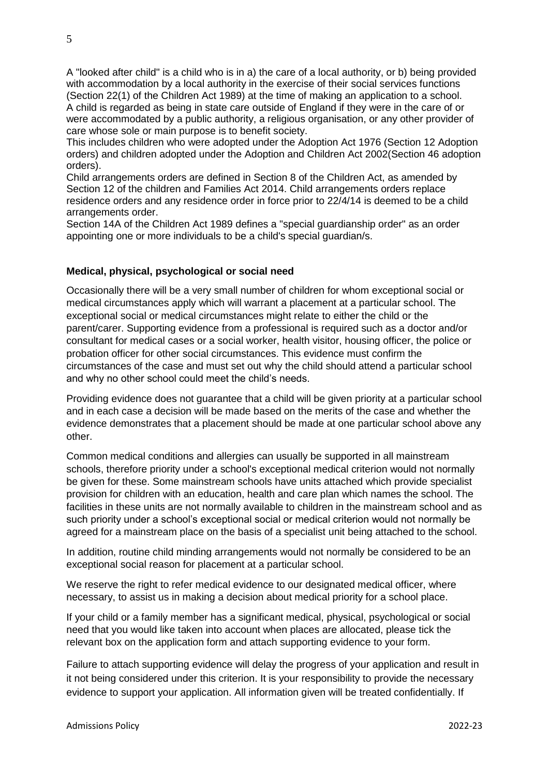A "looked after child" is a child who is in a) the care of a local authority, or b) being provided with accommodation by a local authority in the exercise of their social services functions (Section 22(1) of the Children Act 1989) at the time of making an application to a school. A child is regarded as being in state care outside of England if they were in the care of or were accommodated by a public authority, a religious organisation, or any other provider of care whose sole or main purpose is to benefit society.

This includes children who were adopted under the Adoption Act 1976 (Section 12 Adoption orders) and children adopted under the Adoption and Children Act 2002(Section 46 adoption orders).

Child arrangements orders are defined in Section 8 of the Children Act, as amended by Section 12 of the children and Families Act 2014. Child arrangements orders replace residence orders and any residence order in force prior to 22/4/14 is deemed to be a child arrangements order.

Section 14A of the Children Act 1989 defines a "special guardianship order" as an order appointing one or more individuals to be a child's special guardian/s.

# **Medical, physical, psychological or social need**

Occasionally there will be a very small number of children for whom exceptional social or medical circumstances apply which will warrant a placement at a particular school. The exceptional social or medical circumstances might relate to either the child or the parent/carer. Supporting evidence from a professional is required such as a doctor and/or consultant for medical cases or a social worker, health visitor, housing officer, the police or probation officer for other social circumstances. This evidence must confirm the circumstances of the case and must set out why the child should attend a particular school and why no other school could meet the child's needs.

Providing evidence does not guarantee that a child will be given priority at a particular school and in each case a decision will be made based on the merits of the case and whether the evidence demonstrates that a placement should be made at one particular school above any other.

Common medical conditions and allergies can usually be supported in all mainstream schools, therefore priority under a school's exceptional medical criterion would not normally be given for these. Some mainstream schools have units attached which provide specialist provision for children with an education, health and care plan which names the school. The facilities in these units are not normally available to children in the mainstream school and as such priority under a school's exceptional social or medical criterion would not normally be agreed for a mainstream place on the basis of a specialist unit being attached to the school.

In addition, routine child minding arrangements would not normally be considered to be an exceptional social reason for placement at a particular school.

We reserve the right to refer medical evidence to our designated medical officer, where necessary, to assist us in making a decision about medical priority for a school place.

If your child or a family member has a significant medical, physical, psychological or social need that you would like taken into account when places are allocated, please tick the relevant box on the application form and attach supporting evidence to your form.

Failure to attach supporting evidence will delay the progress of your application and result in it not being considered under this criterion. It is your responsibility to provide the necessary evidence to support your application. All information given will be treated confidentially. If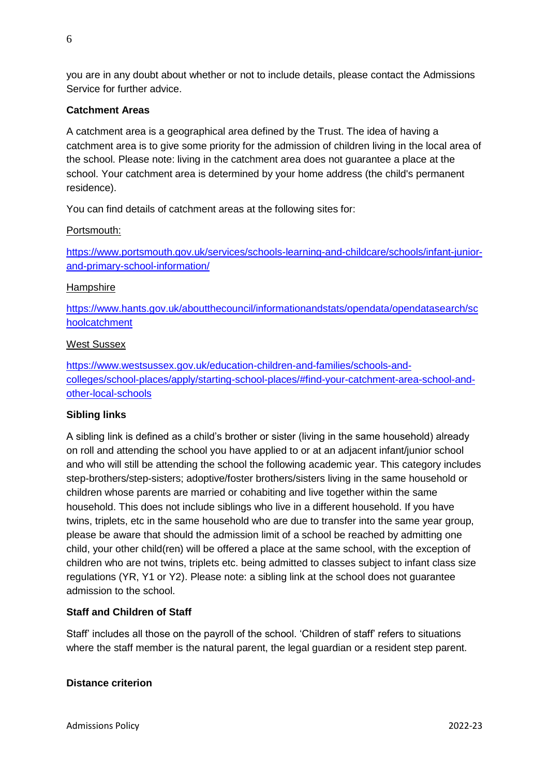you are in any doubt about whether or not to include details, please contact the Admissions Service for further advice.

# **Catchment Areas**

A catchment area is a geographical area defined by the Trust. The idea of having a catchment area is to give some priority for the admission of children living in the local area of the school. Please note: living in the catchment area does not guarantee a place at the school. Your catchment area is determined by your home address (the child's permanent residence).

You can find details of catchment areas at the following sites for:

# Portsmouth:

[https://www.portsmouth.gov.uk/services/schools-learning-and-childcare/schools/infant-junior](https://www.portsmouth.gov.uk/services/schools-learning-and-childcare/schools/infant-junior-and-primary-school-information/)[and-primary-school-information/](https://www.portsmouth.gov.uk/services/schools-learning-and-childcare/schools/infant-junior-and-primary-school-information/)

#### **Hampshire**

[https://www.hants.gov.uk/aboutthecouncil/informationandstats/opendata/opendatasearch/sc](https://www.hants.gov.uk/aboutthecouncil/informationandstats/opendata/opendatasearch/schoolcatchment) [hoolcatchment](https://www.hants.gov.uk/aboutthecouncil/informationandstats/opendata/opendatasearch/schoolcatchment)

#### West Sussex

[https://www.westsussex.gov.uk/education-children-and-families/schools-and](https://www.westsussex.gov.uk/education-children-and-families/schools-and-colleges/school-places/apply/starting-school-places/#find-your-catchment-area-school-and-other-local-schools)[colleges/school-places/apply/starting-school-places/#find-your-catchment-area-school-and](https://www.westsussex.gov.uk/education-children-and-families/schools-and-colleges/school-places/apply/starting-school-places/#find-your-catchment-area-school-and-other-local-schools)[other-local-schools](https://www.westsussex.gov.uk/education-children-and-families/schools-and-colleges/school-places/apply/starting-school-places/#find-your-catchment-area-school-and-other-local-schools)

# **Sibling links**

A sibling link is defined as a child's brother or sister (living in the same household) already on roll and attending the school you have applied to or at an adjacent infant/junior school and who will still be attending the school the following academic year. This category includes step-brothers/step-sisters; adoptive/foster brothers/sisters living in the same household or children whose parents are married or cohabiting and live together within the same household. This does not include siblings who live in a different household. If you have twins, triplets, etc in the same household who are due to transfer into the same year group, please be aware that should the admission limit of a school be reached by admitting one child, your other child(ren) will be offered a place at the same school, with the exception of children who are not twins, triplets etc. being admitted to classes subject to infant class size regulations (YR, Y1 or Y2). Please note: a sibling link at the school does not guarantee admission to the school.

# **Staff and Children of Staff**

Staff' includes all those on the payroll of the school. 'Children of staff' refers to situations where the staff member is the natural parent, the legal guardian or a resident step parent.

### **Distance criterion**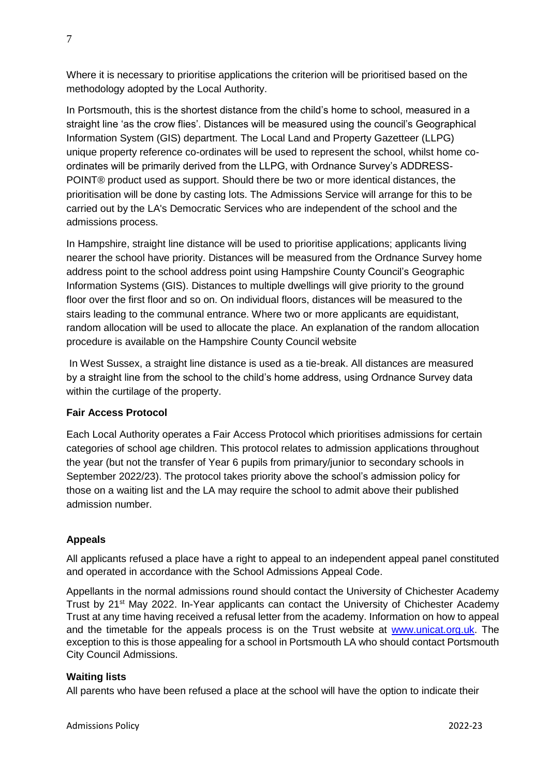Where it is necessary to prioritise applications the criterion will be prioritised based on the methodology adopted by the Local Authority.

In Portsmouth, this is the shortest distance from the child's home to school, measured in a straight line 'as the crow flies'. Distances will be measured using the council's Geographical Information System (GIS) department. The Local Land and Property Gazetteer (LLPG) unique property reference co-ordinates will be used to represent the school, whilst home coordinates will be primarily derived from the LLPG, with Ordnance Survey's ADDRESS-POINT® product used as support. Should there be two or more identical distances, the prioritisation will be done by casting lots. The Admissions Service will arrange for this to be carried out by the LA's Democratic Services who are independent of the school and the admissions process.

In Hampshire, straight line distance will be used to prioritise applications; applicants living nearer the school have priority. Distances will be measured from the Ordnance Survey home address point to the school address point using Hampshire County Council's Geographic Information Systems (GIS). Distances to multiple dwellings will give priority to the ground floor over the first floor and so on. On individual floors, distances will be measured to the stairs leading to the communal entrance. Where two or more applicants are equidistant, random allocation will be used to allocate the place. An explanation of the random allocation procedure is available on the Hampshire County Council website

In West Sussex, a straight line distance is used as a tie-break. All distances are measured by a straight line from the school to the child's home address, using Ordnance Survey data within the curtilage of the property.

# **Fair Access Protocol**

Each Local Authority operates a Fair Access Protocol which prioritises admissions for certain categories of school age children. This protocol relates to admission applications throughout the year (but not the transfer of Year 6 pupils from primary/junior to secondary schools in September 2022/23). The protocol takes priority above the school's admission policy for those on a waiting list and the LA may require the school to admit above their published admission number.

# **Appeals**

All applicants refused a place have a right to appeal to an independent appeal panel constituted and operated in accordance with the School Admissions Appeal Code.

Appellants in the normal admissions round should contact the University of Chichester Academy Trust by 21st May 2022. In-Year applicants can contact the University of Chichester Academy Trust at any time having received a refusal letter from the academy. Information on how to appeal and the timetable for the appeals process is on the Trust website at [www.unicat.org.uk.](http://www.unicat.org.uk/) The exception to this is those appealing for a school in Portsmouth LA who should contact Portsmouth City Council Admissions.

# **Waiting lists**

All parents who have been refused a place at the school will have the option to indicate their